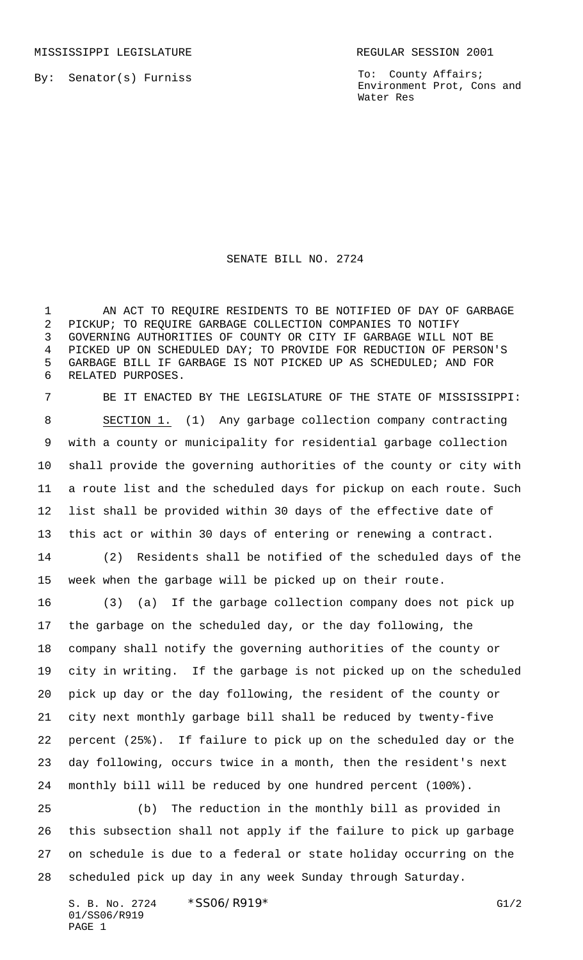MISSISSIPPI LEGISLATURE **REGULAR SESSION 2001** 

By: Senator(s) Furniss

To: County Affairs; Environment Prot, Cons and Water Res

SENATE BILL NO. 2724

1 AN ACT TO REQUIRE RESIDENTS TO BE NOTIFIED OF DAY OF GARBAGE PICKUP; TO REQUIRE GARBAGE COLLECTION COMPANIES TO NOTIFY GOVERNING AUTHORITIES OF COUNTY OR CITY IF GARBAGE WILL NOT BE PICKED UP ON SCHEDULED DAY; TO PROVIDE FOR REDUCTION OF PERSON'S GARBAGE BILL IF GARBAGE IS NOT PICKED UP AS SCHEDULED; AND FOR RELATED PURPOSES.

 BE IT ENACTED BY THE LEGISLATURE OF THE STATE OF MISSISSIPPI: SECTION 1. (1) Any garbage collection company contracting with a county or municipality for residential garbage collection shall provide the governing authorities of the county or city with a route list and the scheduled days for pickup on each route. Such list shall be provided within 30 days of the effective date of this act or within 30 days of entering or renewing a contract.

 (2) Residents shall be notified of the scheduled days of the week when the garbage will be picked up on their route.

 (3) (a) If the garbage collection company does not pick up the garbage on the scheduled day, or the day following, the company shall notify the governing authorities of the county or city in writing. If the garbage is not picked up on the scheduled pick up day or the day following, the resident of the county or city next monthly garbage bill shall be reduced by twenty-five percent (25%). If failure to pick up on the scheduled day or the day following, occurs twice in a month, then the resident's next monthly bill will be reduced by one hundred percent (100%).

 (b) The reduction in the monthly bill as provided in this subsection shall not apply if the failure to pick up garbage on schedule is due to a federal or state holiday occurring on the scheduled pick up day in any week Sunday through Saturday.

S. B. No. 2724 \* SS06/R919\* G1/2 01/SS06/R919 PAGE 1